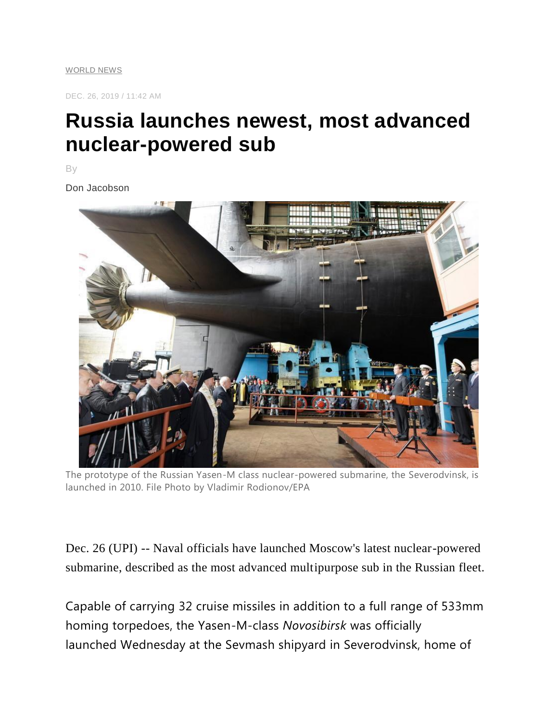[WORLD NEWS](https://www.upi.com/Top_News/World-News/)

DEC. 26, 2019 / 11:42 AM

## **Russia launches newest, most advanced nuclear-powered sub**

By

Don Jacobson



The prototype of the Russian Yasen-M class nuclear-powered submarine, the Severodvinsk, is launched in 2010. File Photo by Vladimir Rodionov/EPA

Dec. 26 (UPI) -- Naval officials have launched Moscow's latest nuclear-powered submarine, described as the most advanced multipurpose sub in the Russian fleet.

Capable of carrying 32 cruise missiles in addition to a full range of 533mm homing torpedoes, the Yasen-M-class *Novosibirsk* was officially launched Wednesday at the Sevmash shipyard in Severodvinsk, home of